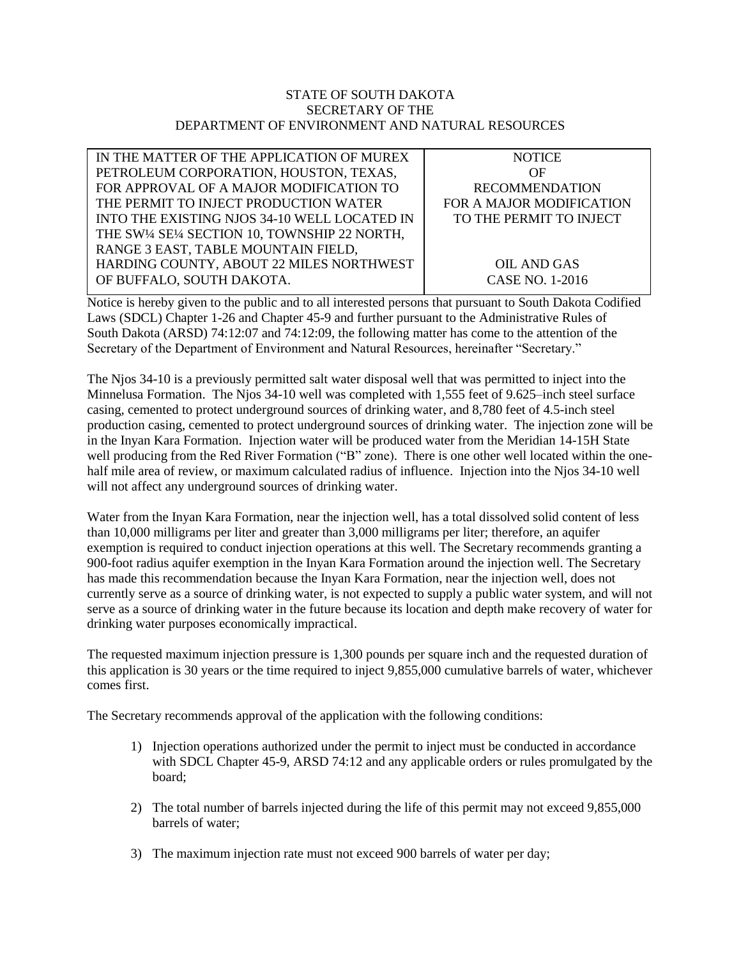## STATE OF SOUTH DAKOTA SECRETARY OF THE DEPARTMENT OF ENVIRONMENT AND NATURAL RESOURCES

IN THE MATTER OF THE APPLICATION OF MUREX PETROLEUM CORPORATION, HOUSTON, TEXAS, FOR APPROVAL OF A MAJOR MODIFICATION TO THE PERMIT TO INJECT PRODUCTION WATER INTO THE EXISTING NJOS 34-10 WELL LOCATED IN THE SW¼ SE¼ SECTION 10, TOWNSHIP 22 NORTH, RANGE 3 EAST, TABLE MOUNTAIN FIELD, HARDING COUNTY, ABOUT 22 MILES NORTHWEST OF BUFFALO, SOUTH DAKOTA.

**NOTICE** OF RECOMMENDATION FOR A MAJOR MODIFICATION TO THE PERMIT TO INJECT

> OIL AND GAS CASE NO. 1-2016

Notice is hereby given to the public and to all interested persons that pursuant to South Dakota Codified Laws (SDCL) Chapter 1-26 and Chapter 45-9 and further pursuant to the Administrative Rules of South Dakota (ARSD) 74:12:07 and 74:12:09, the following matter has come to the attention of the Secretary of the Department of Environment and Natural Resources, hereinafter "Secretary."

The Njos 34-10 is a previously permitted salt water disposal well that was permitted to inject into the Minnelusa Formation. The Njos 34-10 well was completed with 1,555 feet of 9.625–inch steel surface casing, cemented to protect underground sources of drinking water, and 8,780 feet of 4.5-inch steel production casing, cemented to protect underground sources of drinking water. The injection zone will be in the Inyan Kara Formation. Injection water will be produced water from the Meridian 14-15H State well producing from the Red River Formation ("B" zone). There is one other well located within the onehalf mile area of review, or maximum calculated radius of influence. Injection into the Njos 34-10 well will not affect any underground sources of drinking water.

Water from the Inyan Kara Formation, near the injection well, has a total dissolved solid content of less than 10,000 milligrams per liter and greater than 3,000 milligrams per liter; therefore, an aquifer exemption is required to conduct injection operations at this well. The Secretary recommends granting a 900-foot radius aquifer exemption in the Inyan Kara Formation around the injection well. The Secretary has made this recommendation because the Inyan Kara Formation, near the injection well, does not currently serve as a source of drinking water, is not expected to supply a public water system, and will not serve as a source of drinking water in the future because its location and depth make recovery of water for drinking water purposes economically impractical.

The requested maximum injection pressure is 1,300 pounds per square inch and the requested duration of this application is 30 years or the time required to inject 9,855,000 cumulative barrels of water, whichever comes first.

The Secretary recommends approval of the application with the following conditions:

- 1) Injection operations authorized under the permit to inject must be conducted in accordance with SDCL Chapter 45-9, ARSD 74:12 and any applicable orders or rules promulgated by the board;
- 2) The total number of barrels injected during the life of this permit may not exceed 9,855,000 barrels of water;
- 3) The maximum injection rate must not exceed 900 barrels of water per day;